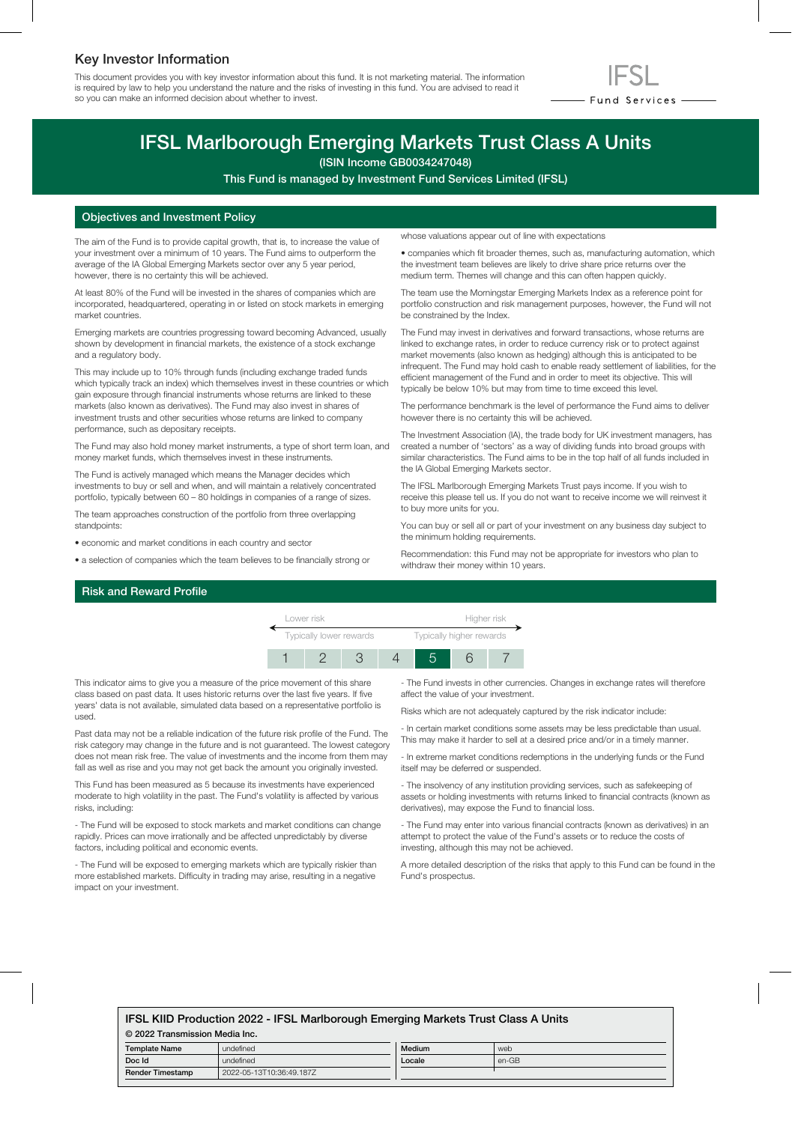## Key Investor Information

This document provides you with key investor information about this fund. It is not marketing material. The information is required by law to help you understand the nature and the risks of investing in this fund. You are advised to read it so you can make an informed decision about whether to invest.



# IFSL Marlborough Emerging Markets Trust Class A Units

(ISIN Income GB0034247048)

This Fund is managed by Investment Fund Services Limited (IFSL)

### Objectives and Investment Policy

The aim of the Fund is to provide capital growth, that is, to increase the value of your investment over a minimum of 10 years. The Fund aims to outperform the average of the IA Global Emerging Markets sector over any 5 year period, however, there is no certainty this will be achieved.

At least 80% of the Fund will be invested in the shares of companies which are incorporated, headquartered, operating in or listed on stock markets in emerging market countries.

Emerging markets are countries progressing toward becoming Advanced, usually shown by development in financial markets, the existence of a stock exchange and a regulatory body.

This may include up to 10% through funds (including exchange traded funds which typically track an index) which themselves invest in these countries or which gain exposure through financial instruments whose returns are linked to these markets (also known as derivatives). The Fund may also invest in shares of investment trusts and other securities whose returns are linked to company performance, such as depositary receipts.

The Fund may also hold money market instruments, a type of short term loan, and money market funds, which themselves invest in these instruments.

The Fund is actively managed which means the Manager decides which investments to buy or sell and when, and will maintain a relatively concentrated portfolio, typically between 60 – 80 holdings in companies of a range of sizes.

The team approaches construction of the portfolio from three overlapping standpoints:

- economic and market conditions in each country and sector
- a selection of companies which the team believes to be financially strong or

whose valuations appear out of line with expectations

• companies which fit broader themes, such as, manufacturing automation, which the investment team believes are likely to drive share price returns over the medium term. Themes will change and this can often happen quickly.

The team use the Morningstar Emerging Markets Index as a reference point for portfolio construction and risk management purposes, however, the Fund will not be constrained by the Index.

The Fund may invest in derivatives and forward transactions, whose returns are linked to exchange rates, in order to reduce currency risk or to protect against market movements (also known as hedging) although this is anticipated to be infrequent. The Fund may hold cash to enable ready settlement of liabilities, for the efficient management of the Fund and in order to meet its objective. This will typically be below 10% but may from time to time exceed this level.

The performance benchmark is the level of performance the Fund aims to deliver however there is no certainty this will be achieved.

The Investment Association (IA), the trade body for UK investment managers, has created a number of 'sectors' as a way of dividing funds into broad groups with similar characteristics. The Fund aims to be in the top half of all funds included in the IA Global Emerging Markets sector.

The IFSL Marlborough Emerging Markets Trust pays income. If you wish to receive this please tell us. If you do not want to receive income we will reinvest it to buy more units for you.

You can buy or sell all or part of your investment on any business day subject to the minimum holding requirements.

Recommendation: this Fund may not be appropriate for investors who plan to withdraw their money within 10 years.

#### Risk and Reward Profile



This indicator aims to give you a measure of the price movement of this share class based on past data. It uses historic returns over the last five years. If five years' data is not available, simulated data based on a representative portfolio is used.

Past data may not be a reliable indication of the future risk profile of the Fund. The risk category may change in the future and is not guaranteed. The lowest category does not mean risk free. The value of investments and the income from them may fall as well as rise and you may not get back the amount you originally invested.

This Fund has been measured as 5 because its investments have experienced moderate to high volatility in the past. The Fund's volatility is affected by various risks, including:

- The Fund will be exposed to stock markets and market conditions can change rapidly. Prices can move irrationally and be affected unpredictably by diverse factors, including political and economic events.

- The Fund will be exposed to emerging markets which are typically riskier than more established markets. Difficulty in trading may arise, resulting in a negative impact on your investment.

- The Fund invests in other currencies. Changes in exchange rates will therefore affect the value of your investment.

Risks which are not adequately captured by the risk indicator include:

- In certain market conditions some assets may be less predictable than usual. This may make it harder to sell at a desired price and/or in a timely manner.

- In extreme market conditions redemptions in the underlying funds or the Fund itself may be deferred or suspended.

- The insolvency of any institution providing services, such as safekeeping of assets or holding investments with returns linked to financial contracts (known as derivatives), may expose the Fund to financial loss.

- The Fund may enter into various financial contracts (known as derivatives) in an attempt to protect the value of the Fund's assets or to reduce the costs of investing, although this may not be achieved.

A more detailed description of the risks that apply to this Fund can be found in the Fund's prospectus.